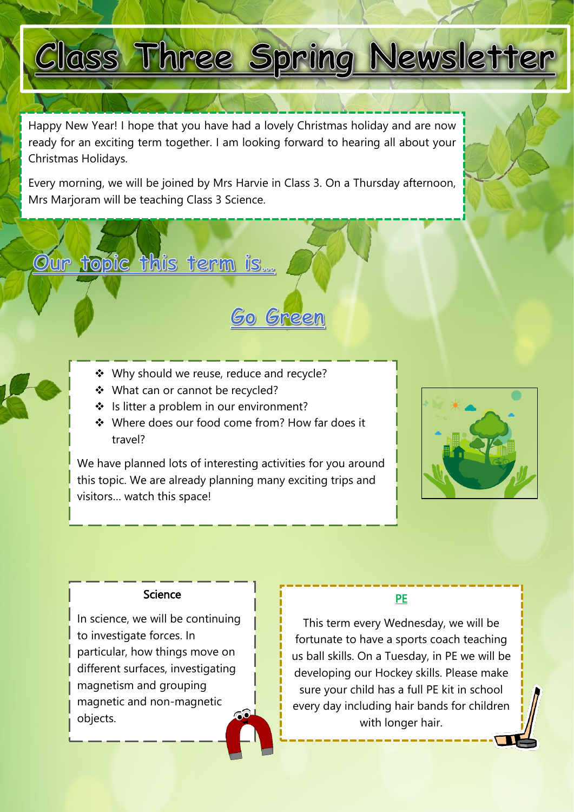# Class Three Spring Newsletter

Happy New Year! I hope that you have had a lovely Christmas holiday and are now ready for an exciting term together. I am looking forward to hearing all about your Christmas Holidays.

Every morning, we will be joined by Mrs Harvie in Class 3. On a Thursday afternoon, Mrs Marjoram will be teaching Class 3 Science.

Go Green

❖ Why should we reuse, reduce and recycle?

◆ What can or cannot be recycled?

Our topic this term is...

S

- ❖ Is litter a problem in our environment?
- Where does our food come from? How far does it travel?

We have planned lots of interesting activities for you around this topic. We are already planning many exciting trips and visitors… watch this space!



### **Science**

In science, we will be continuing to investigate forces. In particular, how things move on different surfaces, investigating magnetism and grouping magnetic and non-magnetic objects.

# PE

 us ball skills. On a Tuesday, in PE we will be This term every Wednesday, we will be fortunate to have a sports coach teaching developing our Hockey skills. Please make sure your child has a full PE kit in school every day including hair bands for children with longer hair.